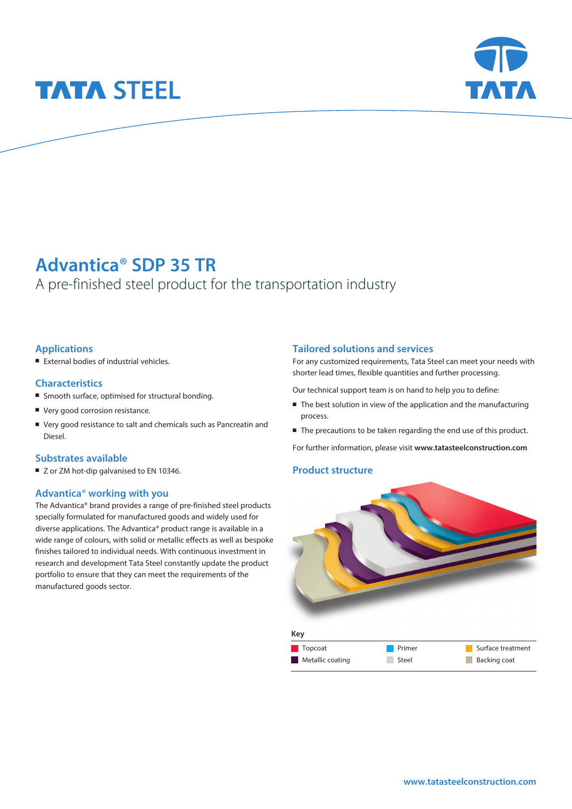# **TATA STEEL**



# **Advantica**® **SDP 35 TR**

## A pre-finished steel product for the transportation industry

#### **Applications**

 $I$  External bodies of industrial vehicles.

#### **Characteristics**

- Smooth surface, optimised for structural bonding.
- Very good corrosion resistance.
- <sup>n</sup> Very good resistance to salt and chemicals such as Pancreatin and Diesel.

#### **Substrates available**

■ Z or ZM hot-dip galvanised to EN 10346.

#### **Advantica**® **working with you**

The Advantica® brand provides a range of pre-finished steel products specially formulated for manufactured goods and widely used for diverse applications. The Advantica® product range is available in a wide range of colours, with solid or metallic effects as well as bespoke finishes tailored to individual needs. With continuous investment in research and development Tata Steel constantly update the product portfolio to ensure that they can meet the requirements of the manufactured goods sector.

#### **Tailored solutions and services**

For any customized requirements, Tata Steel can meet your needs with shorter lead times, flexible quantities and further processing.

Our technical support team is on hand to help you to define:

- $\blacksquare$  The best solution in view of the application and the manufacturing process.
- The precautions to be taken regarding the end use of this product.

For further information, please visit **www.tatasteelconstruction.com**

#### **Product structure**



| $\blacksquare$ Topcoat | <b>Primer</b> | Surface treatment |
|------------------------|---------------|-------------------|
| Metallic coating       | Steel         | Backing coat      |